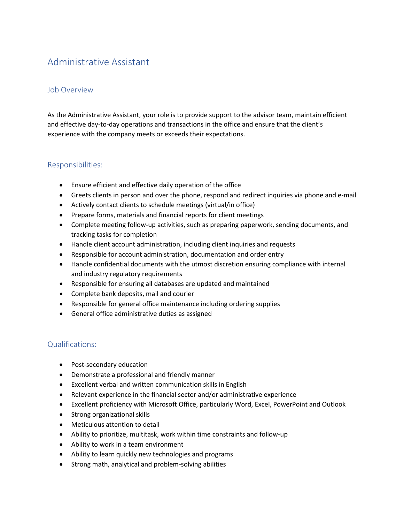# Administrative Assistant

#### Job Overview

As the Administrative Assistant, your role is to provide support to the advisor team, maintain efficient and effective day-to-day operations and transactions in the office and ensure that the client's experience with the company meets or exceeds their expectations.

## Responsibilities:

- Ensure efficient and effective daily operation of the office
- Greets clients in person and over the phone, respond and redirect inquiries via phone and e-mail
- Actively contact clients to schedule meetings (virtual/in office)
- Prepare forms, materials and financial reports for client meetings
- Complete meeting follow-up activities, such as preparing paperwork, sending documents, and tracking tasks for completion
- Handle client account administration, including client inquiries and requests
- Responsible for account administration, documentation and order entry
- Handle confidential documents with the utmost discretion ensuring compliance with internal and industry regulatory requirements
- Responsible for ensuring all databases are updated and maintained
- Complete bank deposits, mail and courier
- Responsible for general office maintenance including ordering supplies
- General office administrative duties as assigned

# Qualifications:

- Post-secondary education
- Demonstrate a professional and friendly manner
- Excellent verbal and written communication skills in English
- Relevant experience in the financial sector and/or administrative experience
- Excellent proficiency with Microsoft Office, particularly Word, Excel, PowerPoint and Outlook
- Strong organizational skills
- Meticulous attention to detail
- Ability to prioritize, multitask, work within time constraints and follow-up
- Ability to work in a team environment
- Ability to learn quickly new technologies and programs
- Strong math, analytical and problem-solving abilities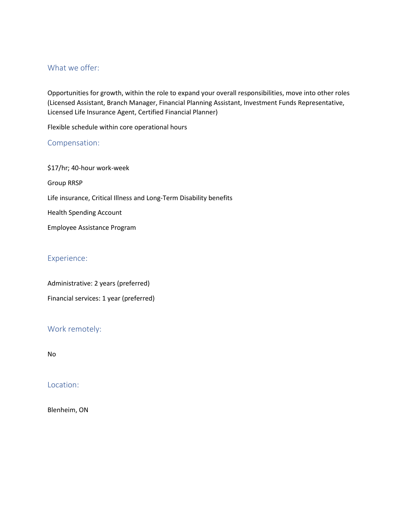## What we offer:

Opportunities for growth, within the role to expand your overall responsibilities, move into other roles (Licensed Assistant, Branch Manager, Financial Planning Assistant, Investment Funds Representative, Licensed Life Insurance Agent, Certified Financial Planner)

Flexible schedule within core operational hours

#### Compensation:

\$17/hr; 40-hour work-week Group RRSP Life insurance, Critical Illness and Long-Term Disability benefits Health Spending Account Employee Assistance Program

# Experience:

Administrative: 2 years (preferred)

Financial services: 1 year (preferred)

# Work remotely:

No

#### Location:

Blenheim, ON